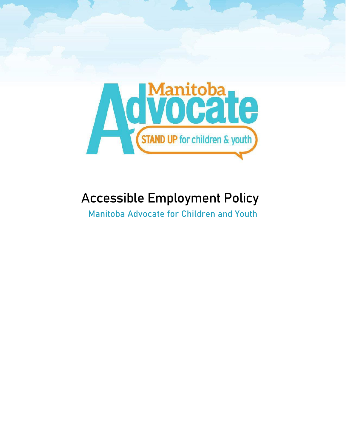

# Accessible Employment Policy

Manitoba Advocate for Children and Youth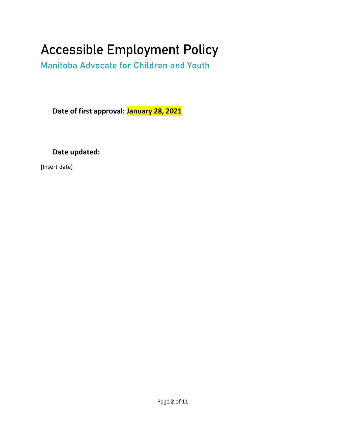# Accessible Employment Policy

Manitoba Advocate for Children and Youth

**Date of first approval: January 28, 2021**

**Date updated:**

[Insert date]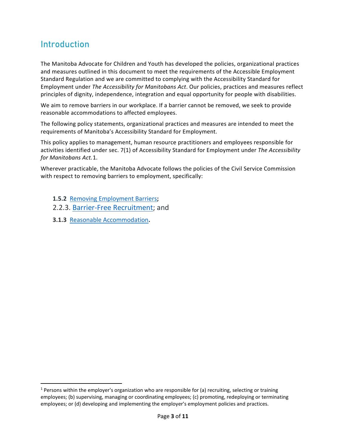# Introduction

The Manitoba Advocate for Children and Youth has developed the policies, organizational practices and measures outlined in this document to meet the requirements of the [Accessible Employment](https://web2.gov.mb.ca/laws/regs/current/_pdf-regs.php?reg=70/2019)  [Standard Regulation](https://web2.gov.mb.ca/laws/regs/current/_pdf-regs.php?reg=70/2019) and we are committed to complying with the Accessibility Standard for Employment under *The Accessibility for Manitobans Act*. Our policies, practices and measures reflect principles of dignity, independence, integration and equal opportunity for people with disabilities.

We aim to remove barriers in our workplace. If a barrier cannot be removed, we seek to provide [reasonable accommodations t](http://www.manitobahumanrights.ca/v1/education-resources/resources/reasonable-accommodation.html)o affected employees.

The following policy statements, organizational practices and measures are intended to meet the requirements of Manitoba's Accessibility Standard for Employment.

This policy applies to management, human resource practitioners and employees responsible for activities identified under sec. 7(1) of Accessibility Standard for Employment under *The Accessibility for Manitobans Act.*[1.](#page-2-0)

Wherever practicable, the Manitoba Advocate follows the policies of the Civil Service Commission with respect to removing barriers to employment, specifically:

- **1.5.2** [Removing Employment Barriers](https://www.gov.mb.ca/csc/policyman/removbar.html)**;**
- 2.2.3. [Barrier-Free Recruitment;](https://www.gov.mb.ca/csc/policyman/advert.html) and
- **3.1.3** [Reasonable Accommodation](http://www.manitoba.ca/csc/policyman/accomm.html)**.**

<span id="page-2-0"></span> $1$  Persons within the employer's organization who are responsible for (a) recruiting, selecting or training employees; (b) supervising, managing or coordinating employees; (c) promoting, redeploying or terminating employees; or (d) developing and implementing the employer's employment policies and practices.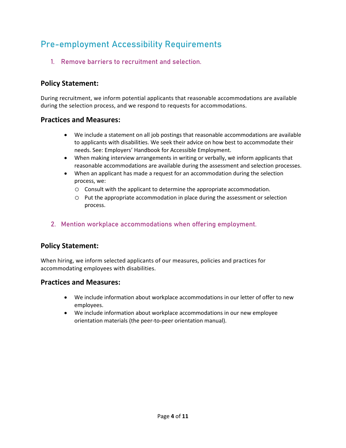# Pre-employment Accessibility Requirements

1. Remove barriers to recruitment and selection.

### **Policy Statement:**

During recruitment, we inform potential applicants that reasonable accommodations are available during the selection process, and we respond to requests for accommodations.

#### **Practices and Measures:**

- We include a statement on all job postings that reasonable accommodations are available to applicants with disabilities. We seek their advice on how best to accommodate their needs. See: [Employers' Handbook for Accessible Employment.](http://accessibilitymb.ca/public-sector-employment.html)
- When making interview arrangements in writing or verbally, we inform applicants that reasonable accommodations are available during the assessment and selection processes.
- When an applicant has made a request for an accommodation during the selection process, we:
	- o Consult with the applicant to determine the appropriate accommodation.
	- o Put the appropriate accommodation in place during the assessment or selection process.

#### 2. Mention workplace accommodations when offering employment.

#### **Policy Statement:**

When hiring, we inform selected applicants of our measures, policies and practices for accommodating employees with disabilities.

- We include information about workplace accommodations in our letter of offer to new employees.
- We include information about workplace accommodations in our new employee orientation materials (the peer-to-peer orientation manual).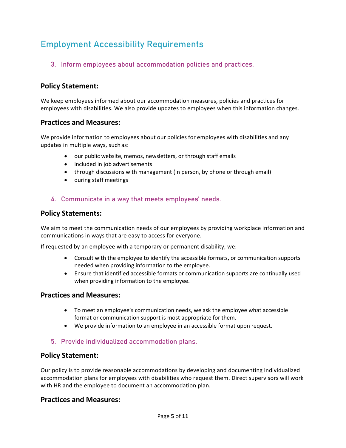# Employment Accessibility Requirements

3. Inform employees about accommodation policies and practices.

# **Policy Statement:**

We keep employees informed about our accommodation measures, policies and practices for employees with disabilities. We also provide updates to employees when this information changes.

#### **Practices and Measures:**

We provide information to employees about our policies for employees with disabilities and any updates in multiple ways, suchas:

- our public website, memos, newsletters, or through staff emails
- included in job advertisements
- through discussions with management (in person, by phone or through email)
- during staff meetings

#### 4. Communicate in a way that meets employees' needs.

#### **Policy Statements:**

We aim to meet the communication needs of our employees by providing workplace information and communications in ways that are easy to access for everyone.

If requested by an employee with a temporary or permanent disability, we:

- Consult with the employee to identify the accessible formats, or communication supports needed when providing information to the employee.
- Ensure that identified accessible formats or communication supports are continually used when providing information to the employee.

#### **Practices and Measures:**

- To meet an employee's communication needs, we ask the employee what accessible format or communication support is most appropriate for them.
- We provide information to an employee in an accessible format upon request.

#### 5. Provide individualized accommodation plans.

#### **Policy Statement:**

Our policy is to provide reasonable accommodations by developing and documenting individualized accommodation plans for employees with disabilities who request them. Direct supervisors will work with HR and the employee to document an accommodation plan.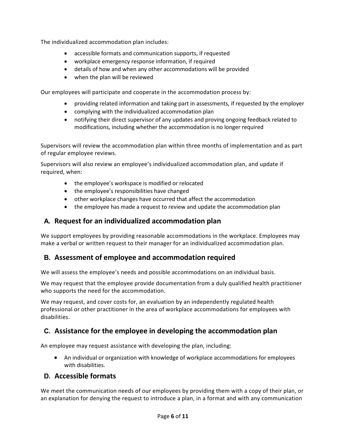The individualized accommodation plan includes:

- accessible formats and communication supports, if requested
- workplace emergency response information, if required
- details of how and when any other accommodations will be provided
- when the plan will be reviewed

Our employees will participate and cooperate in the accommodation process by:

- providing related information and taking part in assessments, if requested by the employer
- complying with the individualized accommodation plan
- notifying their direct supervisor of any updates and proving ongoing feedback related to modifications, including whether the accommodation is no longer required

Supervisors will review the accommodation plan within three months of implementation and as part of regular employee reviews.

Supervisors will also review an employee's individualized accommodation plan, and update if required, when:

- the employee's workspace is modified or relocated
- the employee's responsibilities have changed
- other workplace changes have occurred that affect the accommodation
- the employee has made a request to review and update the accommodation plan

#### **A. Request for an individualized accommodation plan**

We support employees by providing reasonable accommodations in the workplace. Employees may make a verbal or written request to their manager for an individualized accommodation plan.

# **B. Assessment of employee and accommodation required**

We will assess the employee's needs and possible accommodations on an individual basis.

We may request that the employee provide documentation from a duly qualified health practitioner who supports the need for the accommodation.

We may request, and cover costs for, an evaluation by an independently regulated health professional or other practitioner in the area of workplace accommodations for employees with disabilities.

# **C. Assistance for the employee in developing the accommodation plan**

An employee may request assistance with developing the plan, including:

• An individual or organization with knowledge of workplace accommodations for employees with disabilities.

#### **D. Accessible formats**

We meet the communication needs of our employees by providing them with a copy of their plan, or an explanation for denying the request to introduce a plan, in a format and with any communication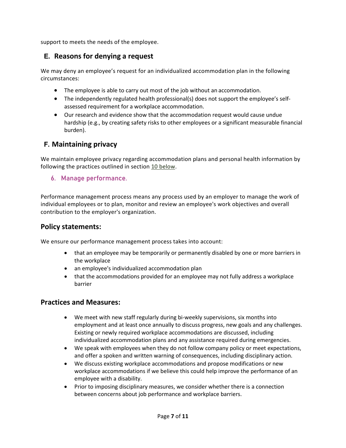support to meets the needs of the employee.

# **E. Reasons for denying a request**

We may deny an employee's request for an individualized accommodation plan in the following circumstances:

- The employee is able to carry out most of the job without an accommodation.
- The independently regulated health professional(s) does not support the employee's selfassessed requirement for a workplace accommodation.
- Our research and evidence show that the accommodation request would cause undue hardship (e.g., by creating safety risks to other employees or a significant measurable financial burden).

### **F. Maintaining privacy**

We maintain employee privacy regarding accommodation plans and personal health information by following the practices outlined in section [10 below.](#page-9-0)

#### 6. Manage performance.

Performance management process means any process used by an employer to manage the work of individual employees or to plan, monitor and review an employee's work objectives and overall contribution to the employer's organization.

#### **Policy statements:**

We ensure our performance management process takes into account:

- that an employee may be temporarily or permanently disabled by one or more barriers in the workplace
- an employee's individualized accommodation plan
- that the accommodations provided for an employee may not fully address a workplace barrier

- We meet with new staff regularly during bi-weekly supervisions, six months into employment and at least once annually to discuss progress, new goals and any challenges. Existing or newly required workplace accommodations are discussed, including individualized accommodation plans and any assistance required during emergencies.
- We speak with employees when they do not follow company policy or meet expectations, and offer a spoken and written warning of consequences, including disciplinary action.
- We discuss existing workplace accommodations and propose modifications or new workplace accommodations if we believe this could help improve the performance of an employee with a disability.
- Prior to imposing disciplinary measures, we consider whether there is a connection between concerns about job performance and workplace barriers.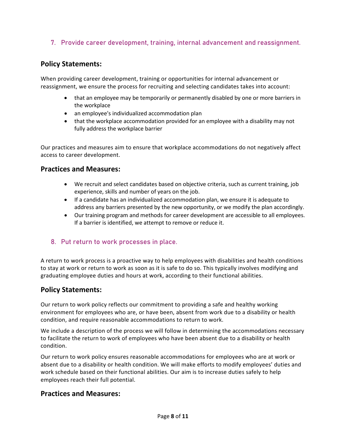#### 7. Provide career development, training, internal advancement and reassignment.

#### **Policy Statements:**

When providing career development, training or opportunities for internal advancement or reassignment, we ensure the process for recruiting and selecting candidates takes into account:

- that an employee may be temporarily or permanently disabled by one or more barriers in the workplace
- an employee's individualized accommodation plan
- that the workplace accommodation provided for an employee with a disability may not fully address the workplace barrier

Our practices and measures aim to ensure that workplace accommodations do not negatively affect access to career development.

#### **Practices and Measures:**

- We recruit and select candidates based on objective criteria, such as current training, job experience, skills and number of years on the job.
- If a candidate has an individualized accommodation plan, we ensure it is adequate to address any barriers presented by the new opportunity, or we modify the plan accordingly.
- Our training program and methods for career development are accessible to all employees. If a barrier is identified, we attempt to remove or reduce it.

#### 8. Put return to work processes in place.

A return to work process is a proactive way to help employees with disabilities and health conditions to stay at work or return to work as soon as it is safe to do so. This typically involves modifying and graduating employee duties and hours at work, according to their functional abilities.

#### **Policy Statements:**

Our return to work policy reflects our commitment to providing a safe and healthy working environment for employees who are, or have been, absent from work due to a disability or health condition, and require reasonable accommodations to return to work.

We include a description of the process we will follow in determining the accommodations necessary to facilitate the return to work of employees who have been absent due to a disability or health condition.

Our return to work policy ensures reasonable accommodations for employees who are at work or absent due to a disability or health condition. We will make efforts to modify employees' duties and work schedule based on their functional abilities. Our aim is to increase duties safely to help employees reach their full potential.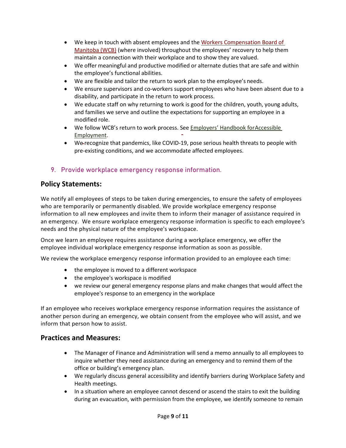- We keep in touch with absent employees and the [Workers Compensation Board of](https://www.wcb.mb.ca/) [Manitoba \(WCB\)](https://www.wcb.mb.ca/) (where involved) throughout the employees' recovery to help them maintain a connection with their workplace and to show they are valued.
- We offer meaningful and productive modified or alternate duties that are safe and within the employee's functional abilities.
- We are flexible and tailor the return to work plan to the employee's needs.
- We ensure supervisors and co-workers support employees who have been absent due to a disability, and participate in the return to work process.
- We educate staff on why returning to work is good for the children, youth, young adults, and families we serve and outline the expectations for supporting an employee in a modified role.
- We follow WCB's return to work process. See **[Employers' Handbook forAccessible](http://accessibilitymb.ca/public-sector-employment.html)** [Employment.](http://accessibilitymb.ca/public-sector-employment.html)
- We recognize that pandemics, like COVID-19, pose serious health threats to people with pre-existing conditions, and we accommodate affected employees.

#### 9. Provide workplace emergency response information.

#### **Policy Statements:**

We notify all employees of steps to be taken during emergencies, to ensure the safety of employees who are temporarily or permanently disabled. We provide workplace emergency response information to all new employees and invite them to inform their manager of assistance required in an emergency. We ensure workplace emergency response information is specific to each employee's needs and the physical nature of the employee's workspace.

Once we learn an employee requires assistance during a workplace emergency, we offer the employee individual workplace emergency response information as soon as possible.

We review the workplace emergency response information provided to an employee each time:

- the employee is moved to a different workspace
- the employee's workspace is modified
- we review our general emergency response plans and make changes that would affect the employee's response to an emergency in the workplace

If an employee who receives workplace emergency response information requires the assistance of another person during an emergency, we obtain consent from the employee who will assist, and we inform that person how to assist.

- The Manager of Finance and Administration will send a memo annually to all employees to inquire whether they need assistance during an emergency and to remind them of the office or building's emergency plan.
- We regularly discuss general accessibility and identify barriers during Workplace Safety and Health meetings.
- In a situation where an employee cannot descend or ascend the stairs to exit the building during an evacuation, with permission from the employee, we identify someone to remain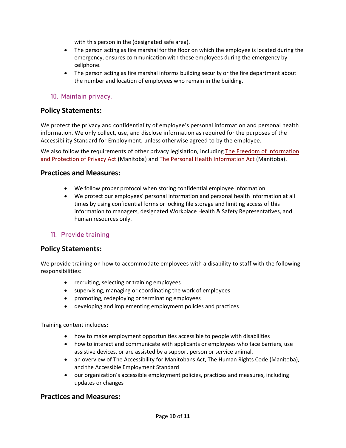with this person in the (designated safe area).

- The person acting as fire marshal for the floor on which the employee is located during the emergency, ensures communication with these employees during the emergency by cellphone.
- The person acting as fire marshal informs building security or the fire department about the number and location of employees who remain in the building.

#### <span id="page-9-0"></span>10. Maintain privacy.

#### **Policy Statements:**

We protect the privacy and confidentiality of employee's personal information and personal health information. We only collect, use, and disclose information as required for the purposes of the Accessibility Standard for Employment, unless otherwise agreed to by the employee.

We also follow the requirements of other privacy legislation, including [The Freedom of Information](https://www.gov.mb.ca/fippa/) [and Protection of Privacy Act](https://www.gov.mb.ca/fippa/) (Manitoba) and [The Personal Health Information Act](https://www.gov.mb.ca/health/phia/index.html) (Manitoba).

#### **Practices and Measures:**

- We follow proper protocol when storing confidential employee information.
- We protect our employees' personal information and personal health information at all times by using confidential forms or locking file storage and limiting access of this information to managers, designated Workplace Health & Safety Representatives, and human resources only.

#### 11. Provide training

#### **Policy Statements:**

We provide training on how to accommodate employees with a disability to staff with the following responsibilities:

- recruiting, selecting or training employees
- supervising, managing or coordinating the work of employees
- promoting, redeploying or terminating employees
- developing and implementing employment policies and practices

Training content includes:

- how to make employment opportunities accessible to people with disabilities
- how to interact and communicate with applicants or employees who face barriers, use assistive devices, or are assisted by a support person or service animal.
- an overview of The Accessibility for Manitobans Act, The Human Rights Code (Manitoba), and the Accessible Employment Standard
- our organization's accessible employment policies, practices and measures, including updates or changes